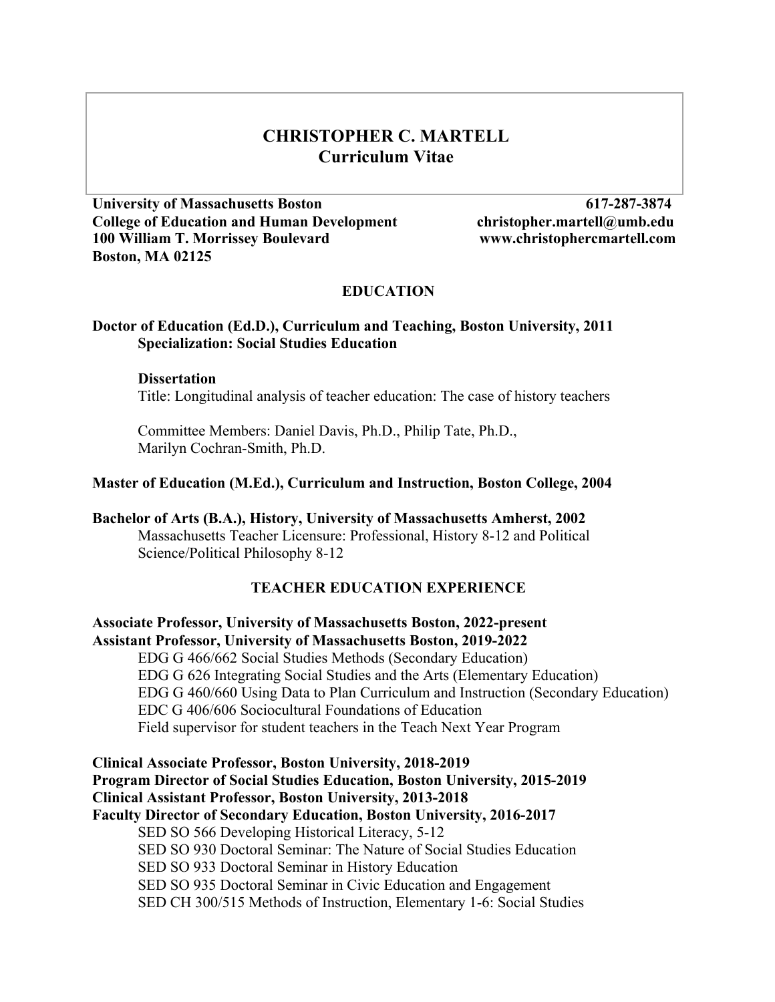# **CHRISTOPHER C. MARTELL Curriculum Vitae**

**University of Massachusetts Boston 617-287-3874 College of Education and Human Development christopher.martell@umb.edu 100 William T. Morrissey Boulevard www.christophercmartell.com Boston, MA 02125** 

### **EDUCATION**

### **Doctor of Education (Ed.D.), Curriculum and Teaching, Boston University, 2011 Specialization: Social Studies Education**

#### **Dissertation**

Title: Longitudinal analysis of teacher education: The case of history teachers

Committee Members: Daniel Davis, Ph.D., Philip Tate, Ph.D., Marilyn Cochran-Smith, Ph.D.

### **Master of Education (M.Ed.), Curriculum and Instruction, Boston College, 2004**

**Bachelor of Arts (B.A.), History, University of Massachusetts Amherst, 2002** Massachusetts Teacher Licensure: Professional, History 8-12 and Political Science/Political Philosophy 8-12

### **TEACHER EDUCATION EXPERIENCE**

**Associate Professor, University of Massachusetts Boston, 2022-present Assistant Professor, University of Massachusetts Boston, 2019-2022** EDG G 466/662 Social Studies Methods (Secondary Education) EDG G 626 Integrating Social Studies and the Arts (Elementary Education) EDG G 460/660 Using Data to Plan Curriculum and Instruction (Secondary Education) EDC G 406/606 Sociocultural Foundations of Education Field supervisor for student teachers in the Teach Next Year Program

**Clinical Associate Professor, Boston University, 2018-2019 Program Director of Social Studies Education, Boston University, 2015-2019 Clinical Assistant Professor, Boston University, 2013-2018 Faculty Director of Secondary Education, Boston University, 2016-2017** SED SO 566 Developing Historical Literacy, 5-12 SED SO 930 Doctoral Seminar: The Nature of Social Studies Education SED SO 933 Doctoral Seminar in History Education SED SO 935 Doctoral Seminar in Civic Education and Engagement SED CH 300/515 Methods of Instruction, Elementary 1-6: Social Studies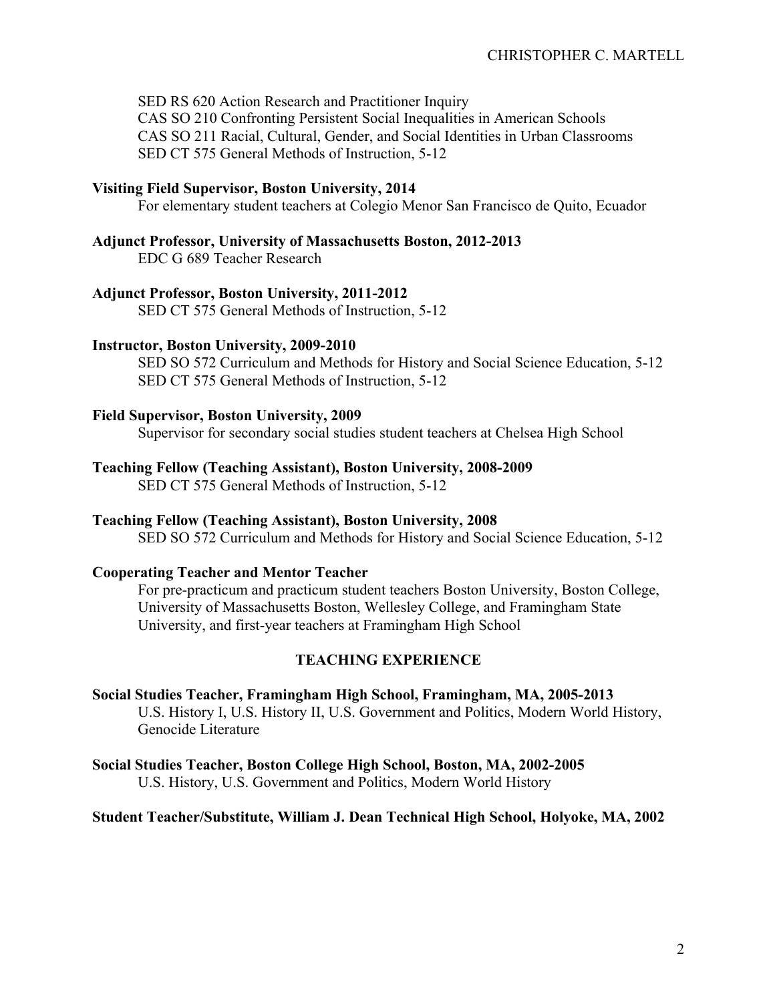SED RS 620 Action Research and Practitioner Inquiry CAS SO 210 Confronting Persistent Social Inequalities in American Schools CAS SO 211 Racial, Cultural, Gender, and Social Identities in Urban Classrooms SED CT 575 General Methods of Instruction, 5-12

## **Visiting Field Supervisor, Boston University, 2014**

For elementary student teachers at Colegio Menor San Francisco de Quito, Ecuador

### **Adjunct Professor, University of Massachusetts Boston, 2012-2013**

EDC G 689 Teacher Research

### **Adjunct Professor, Boston University, 2011-2012**

SED CT 575 General Methods of Instruction, 5-12

#### **Instructor, Boston University, 2009-2010**

SED SO 572 Curriculum and Methods for History and Social Science Education, 5-12 SED CT 575 General Methods of Instruction, 5-12

### **Field Supervisor, Boston University, 2009**

Supervisor for secondary social studies student teachers at Chelsea High School

### **Teaching Fellow (Teaching Assistant), Boston University, 2008-2009**

SED CT 575 General Methods of Instruction, 5-12

#### **Teaching Fellow (Teaching Assistant), Boston University, 2008**

SED SO 572 Curriculum and Methods for History and Social Science Education, 5-12

## **Cooperating Teacher and Mentor Teacher**

For pre-practicum and practicum student teachers Boston University, Boston College, University of Massachusetts Boston, Wellesley College, and Framingham State University, and first-year teachers at Framingham High School

### **TEACHING EXPERIENCE**

**Social Studies Teacher, Framingham High School, Framingham, MA, 2005-2013** U.S. History I, U.S. History II, U.S. Government and Politics, Modern World History, Genocide Literature

**Social Studies Teacher, Boston College High School, Boston, MA, 2002-2005** U.S. History, U.S. Government and Politics, Modern World History

### **Student Teacher/Substitute, William J. Dean Technical High School, Holyoke, MA, 2002**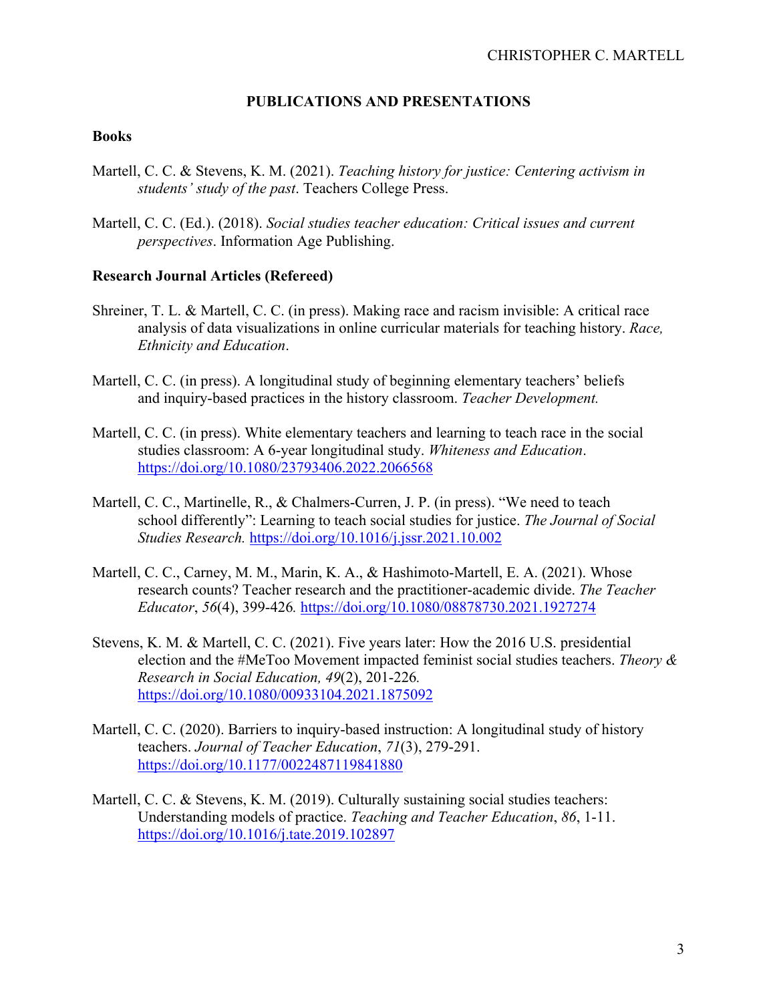## **PUBLICATIONS AND PRESENTATIONS**

### **Books**

- Martell, C. C. & Stevens, K. M. (2021). *Teaching history for justice: Centering activism in students' study of the past*. Teachers College Press.
- Martell, C. C. (Ed.). (2018). *Social studies teacher education: Critical issues and current perspectives*. Information Age Publishing.

### **Research Journal Articles (Refereed)**

- Shreiner, T. L. & Martell, C. C. (in press). Making race and racism invisible: A critical race analysis of data visualizations in online curricular materials for teaching history. *Race, Ethnicity and Education*.
- Martell, C. C. (in press). A longitudinal study of beginning elementary teachers' beliefs and inquiry-based practices in the history classroom. *Teacher Development.*
- Martell, C. C. (in press). White elementary teachers and learning to teach race in the social studies classroom: A 6-year longitudinal study. *Whiteness and Education*. https://doi.org/10.1080/23793406.2022.2066568
- Martell, C. C., Martinelle, R., & Chalmers-Curren, J. P. (in press). "We need to teach school differently": Learning to teach social studies for justice. *The Journal of Social Studies Research.* https://doi.org/10.1016/j.jssr.2021.10.002
- Martell, C. C., Carney, M. M., Marin, K. A., & Hashimoto-Martell, E. A. (2021). Whose research counts? Teacher research and the practitioner-academic divide. *The Teacher Educator*, *56*(4), 399-426*.* https://doi.org/10.1080/08878730.2021.1927274
- Stevens, K. M. & Martell, C. C. (2021). Five years later: How the 2016 U.S. presidential election and the #MeToo Movement impacted feminist social studies teachers. *Theory & Research in Social Education, 49*(2), 201-226*.* https://doi.org/10.1080/00933104.2021.1875092
- Martell, C. C. (2020). Barriers to inquiry-based instruction: A longitudinal study of history teachers. *Journal of Teacher Education*, *71*(3), 279-291. https://doi.org/10.1177/0022487119841880
- Martell, C. C. & Stevens, K. M. (2019). Culturally sustaining social studies teachers: Understanding models of practice. *Teaching and Teacher Education*, *86*, 1-11. https://doi.org/10.1016/j.tate.2019.102897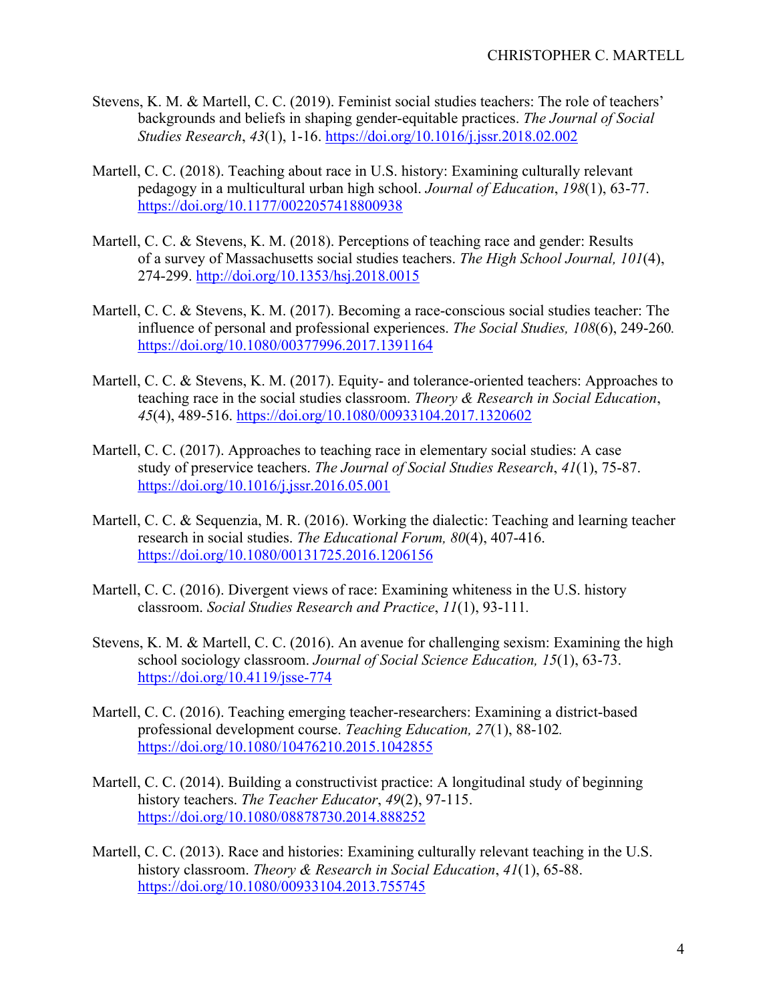- Stevens, K. M. & Martell, C. C. (2019). Feminist social studies teachers: The role of teachers' backgrounds and beliefs in shaping gender-equitable practices. *The Journal of Social Studies Research*, *43*(1), 1-16. https://doi.org/10.1016/j.jssr.2018.02.002
- Martell, C. C. (2018). Teaching about race in U.S. history: Examining culturally relevant pedagogy in a multicultural urban high school. *Journal of Education*, *198*(1), 63-77. https://doi.org/10.1177/0022057418800938
- Martell, C. C. & Stevens, K. M. (2018). Perceptions of teaching race and gender: Results of a survey of Massachusetts social studies teachers. *The High School Journal, 101*(4), 274-299. http://doi.org/10.1353/hsj.2018.0015
- Martell, C. C. & Stevens, K. M. (2017). Becoming a race-conscious social studies teacher: The influence of personal and professional experiences. *The Social Studies, 108*(6), 249-260*.* https://doi.org/10.1080/00377996.2017.1391164
- Martell, C. C. & Stevens, K. M. (2017). Equity- and tolerance-oriented teachers: Approaches to teaching race in the social studies classroom. *Theory & Research in Social Education*, *45*(4), 489-516. https://doi.org/10.1080/00933104.2017.1320602
- Martell, C. C. (2017). Approaches to teaching race in elementary social studies: A case study of preservice teachers. *The Journal of Social Studies Research*, *41*(1), 75-87. https://doi.org/10.1016/j.jssr.2016.05.001
- Martell, C. C. & Sequenzia, M. R. (2016). Working the dialectic: Teaching and learning teacher research in social studies. *The Educational Forum, 80*(4), 407-416. https://doi.org/10.1080/00131725.2016.1206156
- Martell, C. C. (2016). Divergent views of race: Examining whiteness in the U.S. history classroom. *Social Studies Research and Practice*, *11*(1), 93-111*.*
- Stevens, K. M. & Martell, C. C. (2016). An avenue for challenging sexism: Examining the high school sociology classroom. *Journal of Social Science Education, 15*(1), 63-73. https://doi.org/10.4119/jsse-774
- Martell, C. C. (2016). Teaching emerging teacher-researchers: Examining a district-based professional development course. *Teaching Education, 27*(1), 88-102*.* https://doi.org/10.1080/10476210.2015.1042855
- Martell, C. C. (2014). Building a constructivist practice: A longitudinal study of beginning history teachers. *The Teacher Educator*, *49*(2), 97-115. https://doi.org/10.1080/08878730.2014.888252
- Martell, C. C. (2013). Race and histories: Examining culturally relevant teaching in the U.S. history classroom. *Theory & Research in Social Education*, *41*(1), 65-88. https://doi.org/10.1080/00933104.2013.755745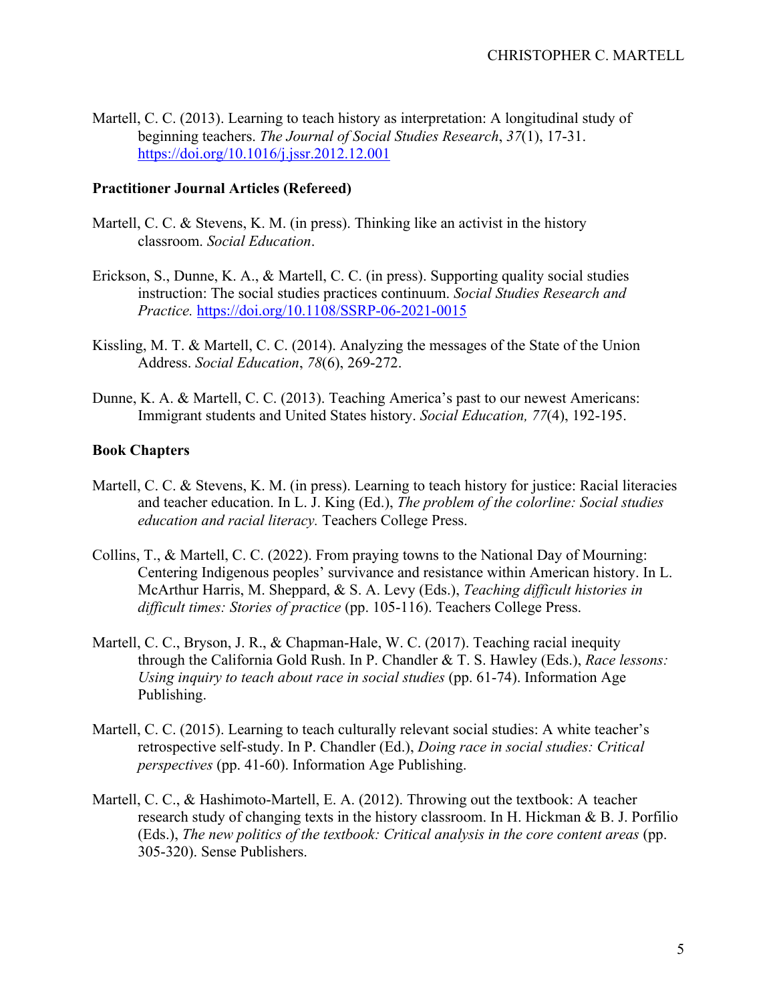Martell, C. C. (2013). Learning to teach history as interpretation: A longitudinal study of beginning teachers. *The Journal of Social Studies Research*, *37*(1), 17-31. https://doi.org/10.1016/j.jssr.2012.12.001

## **Practitioner Journal Articles (Refereed)**

- Martell, C. C. & Stevens, K. M. (in press). Thinking like an activist in the history classroom. *Social Education*.
- Erickson, S., Dunne, K. A., & Martell, C. C. (in press). Supporting quality social studies instruction: The social studies practices continuum. *Social Studies Research and Practice.* https://doi.org/10.1108/SSRP-06-2021-0015
- Kissling, M. T. & Martell, C. C. (2014). Analyzing the messages of the State of the Union Address. *Social Education*, *78*(6), 269-272.
- Dunne, K. A. & Martell, C. C. (2013). Teaching America's past to our newest Americans: Immigrant students and United States history. *Social Education, 77*(4), 192-195.

## **Book Chapters**

- Martell, C. C. & Stevens, K. M. (in press). Learning to teach history for justice: Racial literacies and teacher education. In L. J. King (Ed.), *The problem of the colorline: Social studies education and racial literacy.* Teachers College Press.
- Collins, T., & Martell, C. C. (2022). From praying towns to the National Day of Mourning: Centering Indigenous peoples' survivance and resistance within American history. In L. McArthur Harris, M. Sheppard, & S. A. Levy (Eds.), *Teaching difficult histories in difficult times: Stories of practice* (pp. 105-116). Teachers College Press.
- Martell, C. C., Bryson, J. R., & Chapman-Hale, W. C. (2017). Teaching racial inequity through the California Gold Rush. In P. Chandler & T. S. Hawley (Eds.), *Race lessons: Using inquiry to teach about race in social studies* (pp. 61-74). Information Age Publishing.
- Martell, C. C. (2015). Learning to teach culturally relevant social studies: A white teacher's retrospective self-study. In P. Chandler (Ed.), *Doing race in social studies: Critical perspectives* (pp. 41-60). Information Age Publishing.
- Martell, C. C., & Hashimoto-Martell, E. A. (2012). Throwing out the textbook: A teacher research study of changing texts in the history classroom. In H. Hickman & B. J. Porfilio (Eds.), *The new politics of the textbook: Critical analysis in the core content areas* (pp. 305-320). Sense Publishers.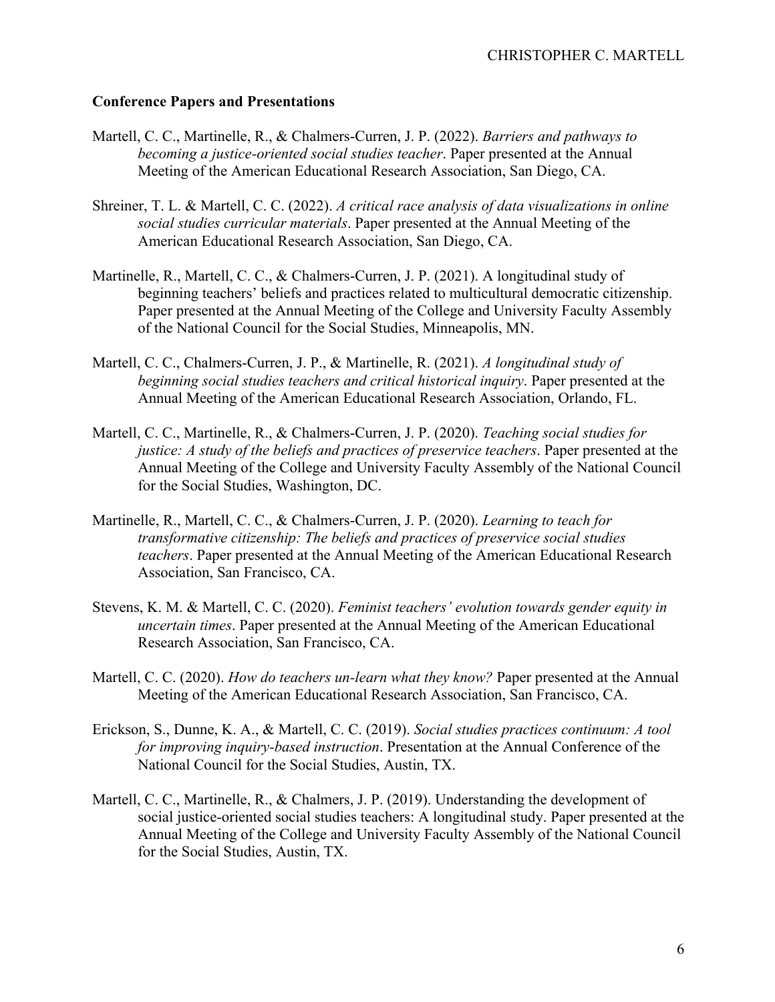## **Conference Papers and Presentations**

- Martell, C. C., Martinelle, R., & Chalmers-Curren, J. P. (2022). *Barriers and pathways to becoming a justice-oriented social studies teacher*. Paper presented at the Annual Meeting of the American Educational Research Association, San Diego, CA.
- Shreiner, T. L. & Martell, C. C. (2022). *A critical race analysis of data visualizations in online social studies curricular materials*. Paper presented at the Annual Meeting of the American Educational Research Association, San Diego, CA.
- Martinelle, R., Martell, C. C., & Chalmers-Curren, J. P. (2021). A longitudinal study of beginning teachers' beliefs and practices related to multicultural democratic citizenship. Paper presented at the Annual Meeting of the College and University Faculty Assembly of the National Council for the Social Studies, Minneapolis, MN.
- Martell, C. C., Chalmers-Curren, J. P., & Martinelle, R. (2021). *A longitudinal study of beginning social studies teachers and critical historical inquiry*. Paper presented at the Annual Meeting of the American Educational Research Association, Orlando, FL.
- Martell, C. C., Martinelle, R., & Chalmers-Curren, J. P. (2020). *Teaching social studies for justice: A study of the beliefs and practices of preservice teachers*. Paper presented at the Annual Meeting of the College and University Faculty Assembly of the National Council for the Social Studies, Washington, DC.
- Martinelle, R., Martell, C. C., & Chalmers-Curren, J. P. (2020). *Learning to teach for transformative citizenship: The beliefs and practices of preservice social studies teachers*. Paper presented at the Annual Meeting of the American Educational Research Association, San Francisco, CA.
- Stevens, K. M. & Martell, C. C. (2020). *Feminist teachers' evolution towards gender equity in uncertain times*. Paper presented at the Annual Meeting of the American Educational Research Association, San Francisco, CA.
- Martell, C. C. (2020). *How do teachers un-learn what they know?* Paper presented at the Annual Meeting of the American Educational Research Association, San Francisco, CA.
- Erickson, S., Dunne, K. A., & Martell, C. C. (2019). *Social studies practices continuum: A tool for improving inquiry-based instruction*. Presentation at the Annual Conference of the National Council for the Social Studies, Austin, TX.
- Martell, C. C., Martinelle, R., & Chalmers, J. P. (2019). Understanding the development of social justice-oriented social studies teachers: A longitudinal study. Paper presented at the Annual Meeting of the College and University Faculty Assembly of the National Council for the Social Studies, Austin, TX.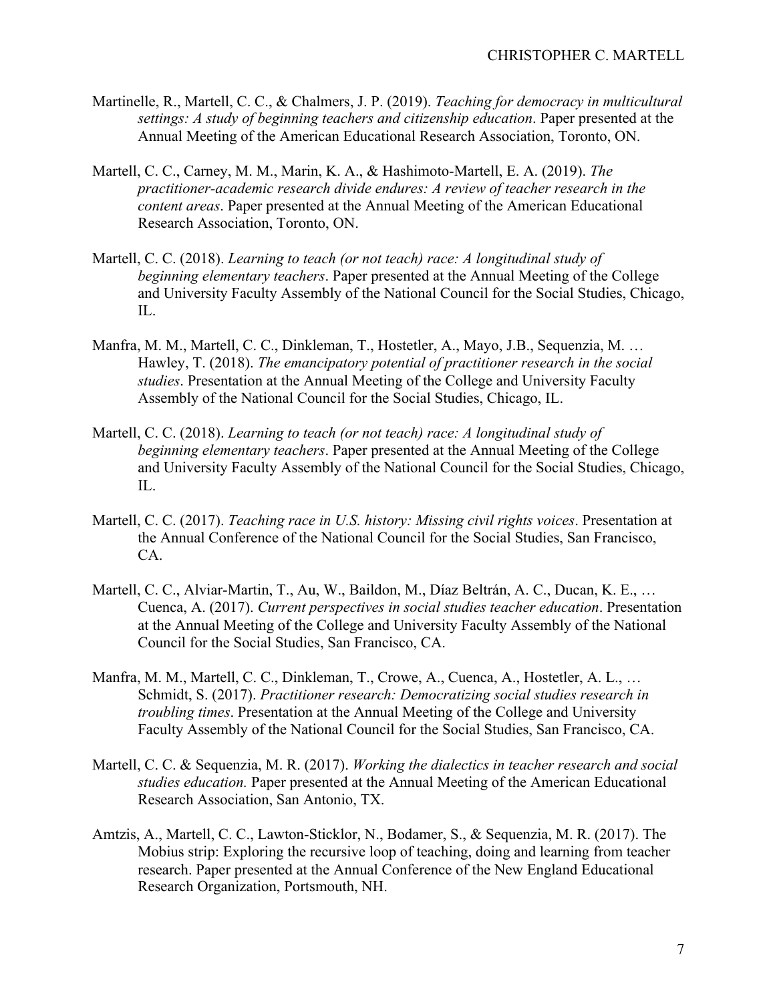- Martinelle, R., Martell, C. C., & Chalmers, J. P. (2019). *Teaching for democracy in multicultural settings: A study of beginning teachers and citizenship education*. Paper presented at the Annual Meeting of the American Educational Research Association, Toronto, ON.
- Martell, C. C., Carney, M. M., Marin, K. A., & Hashimoto-Martell, E. A. (2019). *The practitioner-academic research divide endures: A review of teacher research in the content areas*. Paper presented at the Annual Meeting of the American Educational Research Association, Toronto, ON.
- Martell, C. C. (2018). *Learning to teach (or not teach) race: A longitudinal study of beginning elementary teachers*. Paper presented at the Annual Meeting of the College and University Faculty Assembly of the National Council for the Social Studies, Chicago, IL.
- Manfra, M. M., Martell, C. C., Dinkleman, T., Hostetler, A., Mayo, J.B., Sequenzia, M. … Hawley, T. (2018). *The emancipatory potential of practitioner research in the social studies*. Presentation at the Annual Meeting of the College and University Faculty Assembly of the National Council for the Social Studies, Chicago, IL.
- Martell, C. C. (2018). *Learning to teach (or not teach) race: A longitudinal study of beginning elementary teachers*. Paper presented at the Annual Meeting of the College and University Faculty Assembly of the National Council for the Social Studies, Chicago, IL.
- Martell, C. C. (2017). *Teaching race in U.S. history: Missing civil rights voices*. Presentation at the Annual Conference of the National Council for the Social Studies, San Francisco, CA.
- Martell, C. C., Alviar-Martin, T., Au, W., Baildon, M., Díaz Beltrán, A. C., Ducan, K. E., … Cuenca, A. (2017). *Current perspectives in social studies teacher education*. Presentation at the Annual Meeting of the College and University Faculty Assembly of the National Council for the Social Studies, San Francisco, CA.
- Manfra, M. M., Martell, C. C., Dinkleman, T., Crowe, A., Cuenca, A., Hostetler, A. L., … Schmidt, S. (2017). *Practitioner research: Democratizing social studies research in troubling times*. Presentation at the Annual Meeting of the College and University Faculty Assembly of the National Council for the Social Studies, San Francisco, CA.
- Martell, C. C. & Sequenzia, M. R. (2017). *Working the dialectics in teacher research and social studies education.* Paper presented at the Annual Meeting of the American Educational Research Association, San Antonio, TX.
- Amtzis, A., Martell, C. C., Lawton-Sticklor, N., Bodamer, S., & Sequenzia, M. R. (2017). The Mobius strip: Exploring the recursive loop of teaching, doing and learning from teacher research. Paper presented at the Annual Conference of the New England Educational Research Organization, Portsmouth, NH.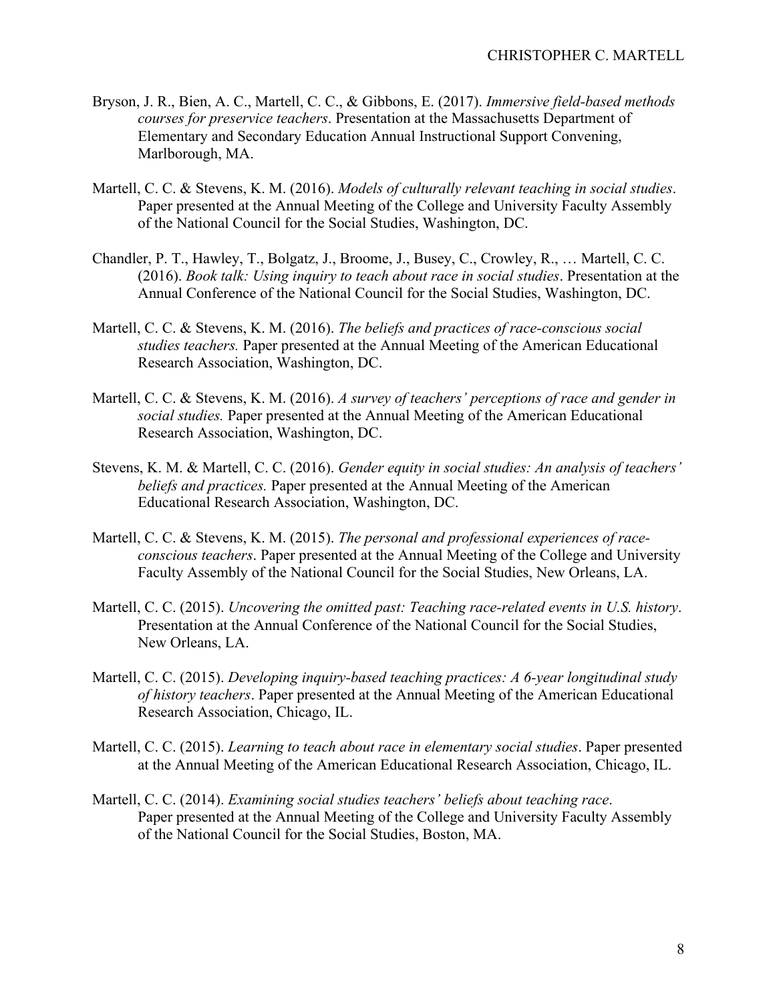- Bryson, J. R., Bien, A. C., Martell, C. C., & Gibbons, E. (2017). *Immersive field-based methods courses for preservice teachers*. Presentation at the Massachusetts Department of Elementary and Secondary Education Annual Instructional Support Convening, Marlborough, MA.
- Martell, C. C. & Stevens, K. M. (2016). *Models of culturally relevant teaching in social studies*. Paper presented at the Annual Meeting of the College and University Faculty Assembly of the National Council for the Social Studies, Washington, DC.
- Chandler, P. T., Hawley, T., Bolgatz, J., Broome, J., Busey, C., Crowley, R., … Martell, C. C. (2016). *Book talk: Using inquiry to teach about race in social studies*. Presentation at the Annual Conference of the National Council for the Social Studies, Washington, DC.
- Martell, C. C. & Stevens, K. M. (2016). *The beliefs and practices of race-conscious social studies teachers.* Paper presented at the Annual Meeting of the American Educational Research Association, Washington, DC.
- Martell, C. C. & Stevens, K. M. (2016). *A survey of teachers' perceptions of race and gender in social studies.* Paper presented at the Annual Meeting of the American Educational Research Association, Washington, DC.
- Stevens, K. M. & Martell, C. C. (2016). *Gender equity in social studies: An analysis of teachers' beliefs and practices.* Paper presented at the Annual Meeting of the American Educational Research Association, Washington, DC.
- Martell, C. C. & Stevens, K. M. (2015). *The personal and professional experiences of raceconscious teachers*. Paper presented at the Annual Meeting of the College and University Faculty Assembly of the National Council for the Social Studies, New Orleans, LA.
- Martell, C. C. (2015). *Uncovering the omitted past: Teaching race-related events in U.S. history*. Presentation at the Annual Conference of the National Council for the Social Studies, New Orleans, LA.
- Martell, C. C. (2015). *Developing inquiry-based teaching practices: A 6-year longitudinal study of history teachers*. Paper presented at the Annual Meeting of the American Educational Research Association, Chicago, IL.
- Martell, C. C. (2015). *Learning to teach about race in elementary social studies*. Paper presented at the Annual Meeting of the American Educational Research Association, Chicago, IL.
- Martell, C. C. (2014). *Examining social studies teachers' beliefs about teaching race*. Paper presented at the Annual Meeting of the College and University Faculty Assembly of the National Council for the Social Studies, Boston, MA.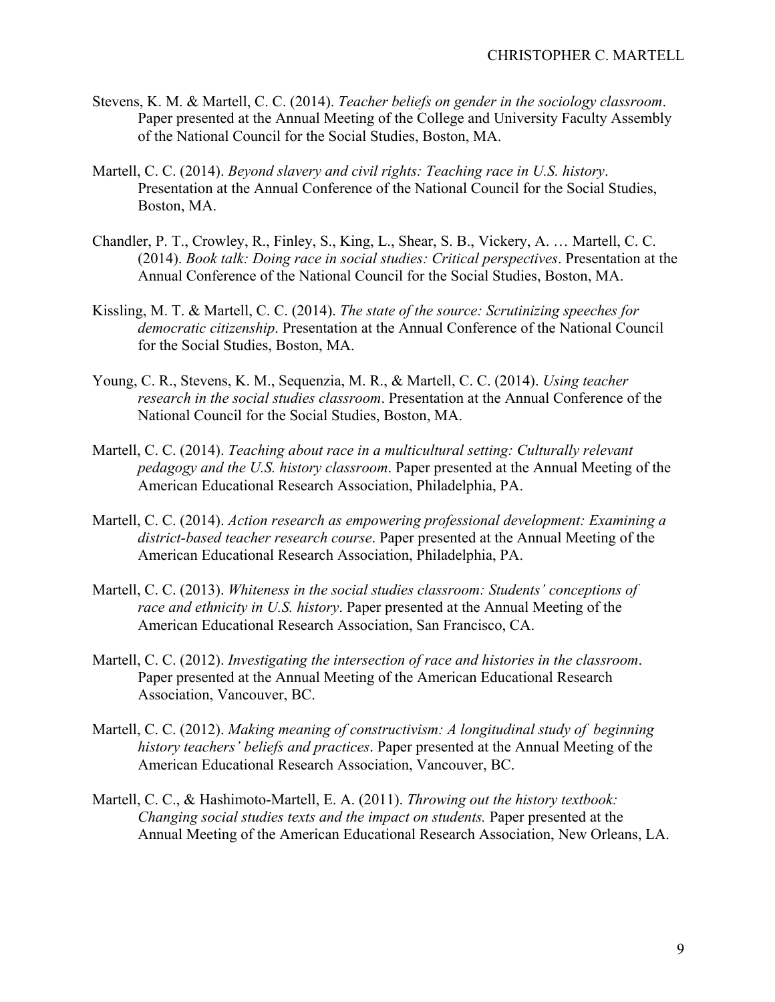- Stevens, K. M. & Martell, C. C. (2014). *Teacher beliefs on gender in the sociology classroom*. Paper presented at the Annual Meeting of the College and University Faculty Assembly of the National Council for the Social Studies, Boston, MA.
- Martell, C. C. (2014). *Beyond slavery and civil rights: Teaching race in U.S. history*. Presentation at the Annual Conference of the National Council for the Social Studies, Boston, MA.
- Chandler, P. T., Crowley, R., Finley, S., King, L., Shear, S. B., Vickery, A. … Martell, C. C. (2014). *Book talk: Doing race in social studies: Critical perspectives*. Presentation at the Annual Conference of the National Council for the Social Studies, Boston, MA.
- Kissling, M. T. & Martell, C. C. (2014). *The state of the source: Scrutinizing speeches for democratic citizenship*. Presentation at the Annual Conference of the National Council for the Social Studies, Boston, MA.
- Young, C. R., Stevens, K. M., Sequenzia, M. R., & Martell, C. C. (2014). *Using teacher research in the social studies classroom*. Presentation at the Annual Conference of the National Council for the Social Studies, Boston, MA.
- Martell, C. C. (2014). *Teaching about race in a multicultural setting: Culturally relevant pedagogy and the U.S. history classroom*. Paper presented at the Annual Meeting of the American Educational Research Association, Philadelphia, PA.
- Martell, C. C. (2014). *Action research as empowering professional development: Examining a district-based teacher research course*. Paper presented at the Annual Meeting of the American Educational Research Association, Philadelphia, PA.
- Martell, C. C. (2013). *Whiteness in the social studies classroom: Students' conceptions of race and ethnicity in U.S. history*. Paper presented at the Annual Meeting of the American Educational Research Association, San Francisco, CA.
- Martell, C. C. (2012). *Investigating the intersection of race and histories in the classroom*. Paper presented at the Annual Meeting of the American Educational Research Association, Vancouver, BC.
- Martell, C. C. (2012). *Making meaning of constructivism: A longitudinal study of beginning history teachers' beliefs and practices*. Paper presented at the Annual Meeting of the American Educational Research Association, Vancouver, BC.
- Martell, C. C., & Hashimoto-Martell, E. A. (2011). *Throwing out the history textbook: Changing social studies texts and the impact on students.* Paper presented at the Annual Meeting of the American Educational Research Association, New Orleans, LA.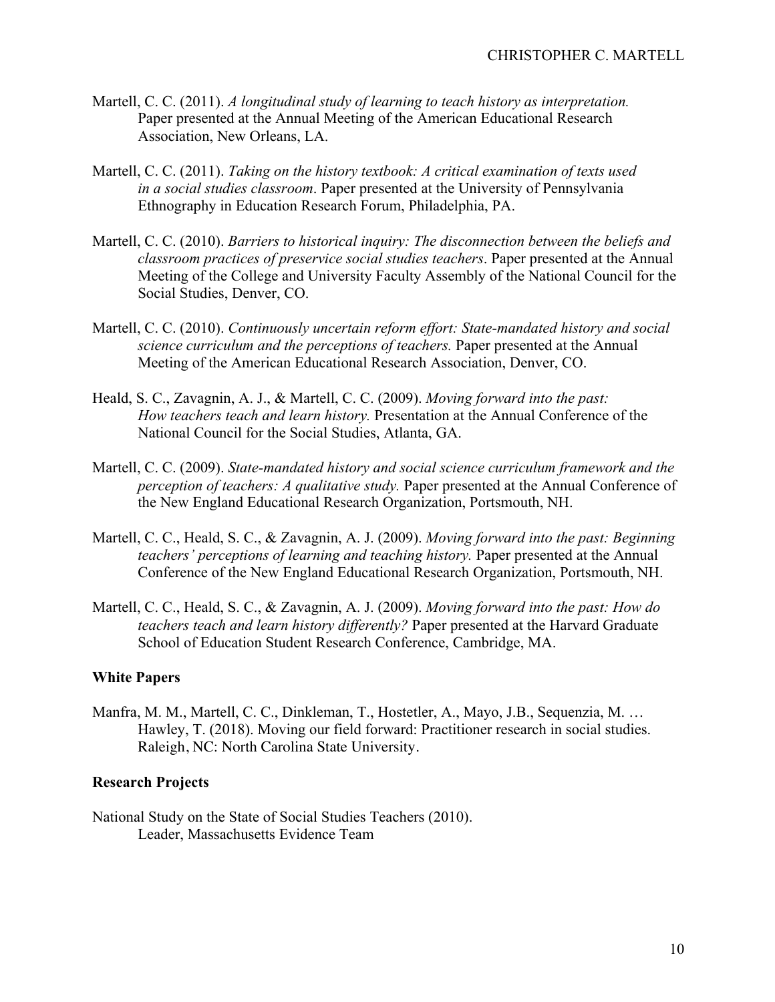- Martell, C. C. (2011). *A longitudinal study of learning to teach history as interpretation.* Paper presented at the Annual Meeting of the American Educational Research Association, New Orleans, LA.
- Martell, C. C. (2011). *Taking on the history textbook: A critical examination of texts used in a social studies classroom*. Paper presented at the University of Pennsylvania Ethnography in Education Research Forum, Philadelphia, PA.
- Martell, C. C. (2010). *Barriers to historical inquiry: The disconnection between the beliefs and classroom practices of preservice social studies teachers*. Paper presented at the Annual Meeting of the College and University Faculty Assembly of the National Council for the Social Studies, Denver, CO.
- Martell, C. C. (2010). *Continuously uncertain reform effort: State-mandated history and social science curriculum and the perceptions of teachers.* Paper presented at the Annual Meeting of the American Educational Research Association, Denver, CO.
- Heald, S. C., Zavagnin, A. J., & Martell, C. C. (2009). *Moving forward into the past: How teachers teach and learn history.* Presentation at the Annual Conference of the National Council for the Social Studies, Atlanta, GA.
- Martell, C. C. (2009). *State-mandated history and social science curriculum framework and the perception of teachers: A qualitative study.* Paper presented at the Annual Conference of the New England Educational Research Organization, Portsmouth, NH.
- Martell, C. C., Heald, S. C., & Zavagnin, A. J. (2009). *Moving forward into the past: Beginning teachers' perceptions of learning and teaching history.* Paper presented at the Annual Conference of the New England Educational Research Organization, Portsmouth, NH.
- Martell, C. C., Heald, S. C., & Zavagnin, A. J. (2009). *Moving forward into the past: How do teachers teach and learn history differently?* Paper presented at the Harvard Graduate School of Education Student Research Conference, Cambridge, MA.

## **White Papers**

Manfra, M. M., Martell, C. C., Dinkleman, T., Hostetler, A., Mayo, J.B., Sequenzia, M. … Hawley, T. (2018). Moving our field forward: Practitioner research in social studies. Raleigh, NC: North Carolina State University.

## **Research Projects**

National Study on the State of Social Studies Teachers (2010). Leader, Massachusetts Evidence Team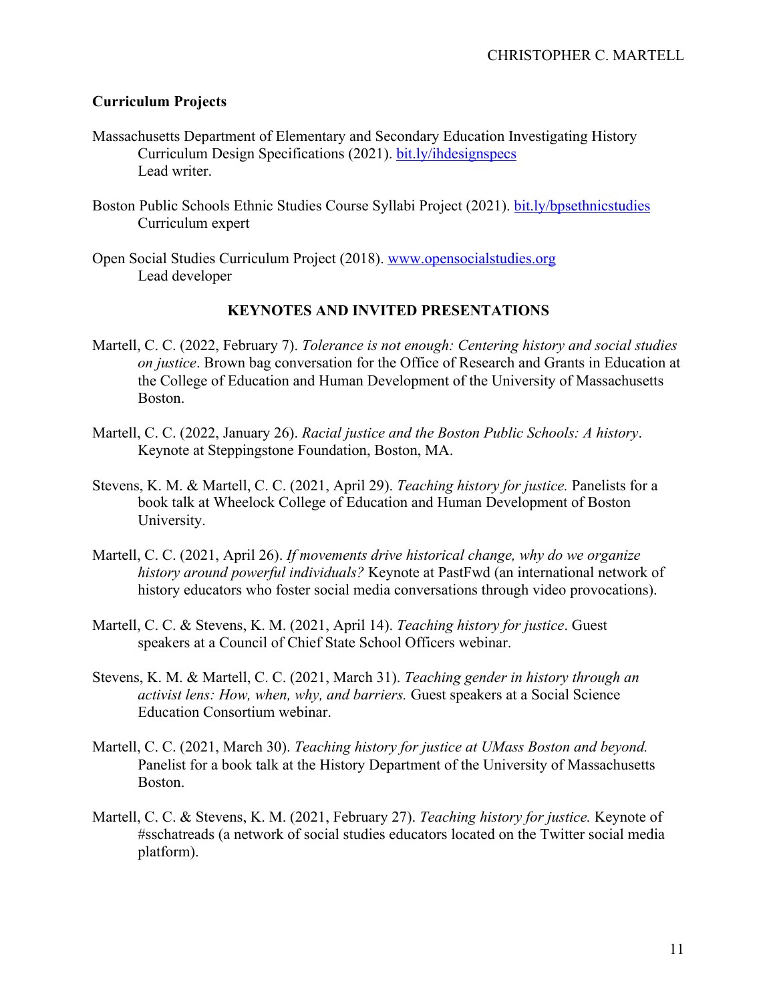## **Curriculum Projects**

- Massachusetts Department of Elementary and Secondary Education Investigating History Curriculum Design Specifications (2021). bit.ly/ihdesignspecs Lead writer.
- Boston Public Schools Ethnic Studies Course Syllabi Project (2021). bit.ly/bpsethnicstudies Curriculum expert
- Open Social Studies Curriculum Project (2018). www.opensocialstudies.org Lead developer

## **KEYNOTES AND INVITED PRESENTATIONS**

- Martell, C. C. (2022, February 7). *Tolerance is not enough: Centering history and social studies on justice*. Brown bag conversation for the Office of Research and Grants in Education at the College of Education and Human Development of the University of Massachusetts Boston.
- Martell, C. C. (2022, January 26). *Racial justice and the Boston Public Schools: A history*. Keynote at Steppingstone Foundation, Boston, MA.
- Stevens, K. M. & Martell, C. C. (2021, April 29). *Teaching history for justice.* Panelists for a book talk at Wheelock College of Education and Human Development of Boston University.
- Martell, C. C. (2021, April 26). *If movements drive historical change, why do we organize history around powerful individuals?* Keynote at PastFwd (an international network of history educators who foster social media conversations through video provocations).
- Martell, C. C. & Stevens, K. M. (2021, April 14). *Teaching history for justice*. Guest speakers at a Council of Chief State School Officers webinar.
- Stevens, K. M. & Martell, C. C. (2021, March 31). *Teaching gender in history through an activist lens: How, when, why, and barriers.* Guest speakers at a Social Science Education Consortium webinar.
- Martell, C. C. (2021, March 30). *Teaching history for justice at UMass Boston and beyond.*  Panelist for a book talk at the History Department of the University of Massachusetts Boston.
- Martell, C. C. & Stevens, K. M. (2021, February 27). *Teaching history for justice.* Keynote of #sschatreads (a network of social studies educators located on the Twitter social media platform).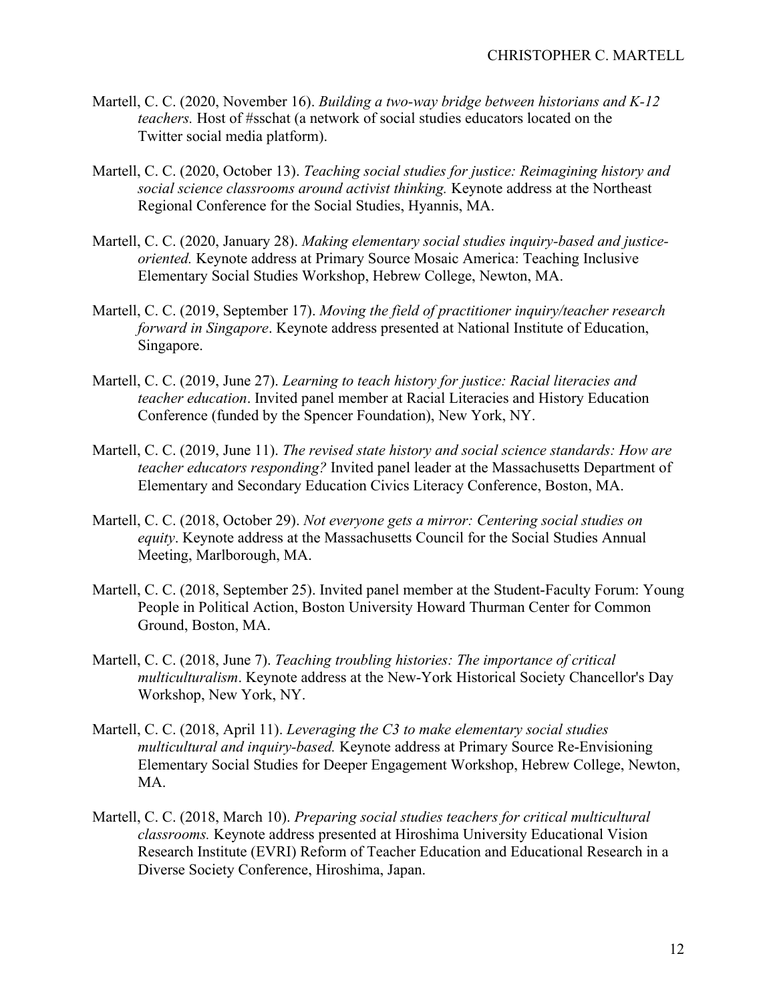- Martell, C. C. (2020, November 16). *Building a two-way bridge between historians and K-12 teachers.* Host of #sschat (a network of social studies educators located on the Twitter social media platform).
- Martell, C. C. (2020, October 13). *Teaching social studies for justice: Reimagining history and social science classrooms around activist thinking.* Keynote address at the Northeast Regional Conference for the Social Studies, Hyannis, MA.
- Martell, C. C. (2020, January 28). *Making elementary social studies inquiry-based and justiceoriented.* Keynote address at Primary Source Mosaic America: Teaching Inclusive Elementary Social Studies Workshop, Hebrew College, Newton, MA.
- Martell, C. C. (2019, September 17). *Moving the field of practitioner inquiry/teacher research forward in Singapore*. Keynote address presented at National Institute of Education, Singapore.
- Martell, C. C. (2019, June 27). *Learning to teach history for justice: Racial literacies and teacher education*. Invited panel member at Racial Literacies and History Education Conference (funded by the Spencer Foundation), New York, NY.
- Martell, C. C. (2019, June 11). *The revised state history and social science standards: How are teacher educators responding?* Invited panel leader at the Massachusetts Department of Elementary and Secondary Education Civics Literacy Conference, Boston, MA.
- Martell, C. C. (2018, October 29). *Not everyone gets a mirror: Centering social studies on equity*. Keynote address at the Massachusetts Council for the Social Studies Annual Meeting, Marlborough, MA.
- Martell, C. C. (2018, September 25). Invited panel member at the Student-Faculty Forum: Young People in Political Action, Boston University Howard Thurman Center for Common Ground, Boston, MA.
- Martell, C. C. (2018, June 7). *Teaching troubling histories: The importance of critical multiculturalism*. Keynote address at the New-York Historical Society Chancellor's Day Workshop, New York, NY.
- Martell, C. C. (2018, April 11). *Leveraging the C3 to make elementary social studies multicultural and inquiry-based.* Keynote address at Primary Source Re-Envisioning Elementary Social Studies for Deeper Engagement Workshop, Hebrew College, Newton, MA.
- Martell, C. C. (2018, March 10). *Preparing social studies teachers for critical multicultural classrooms.* Keynote address presented at Hiroshima University Educational Vision Research Institute (EVRI) Reform of Teacher Education and Educational Research in a Diverse Society Conference, Hiroshima, Japan.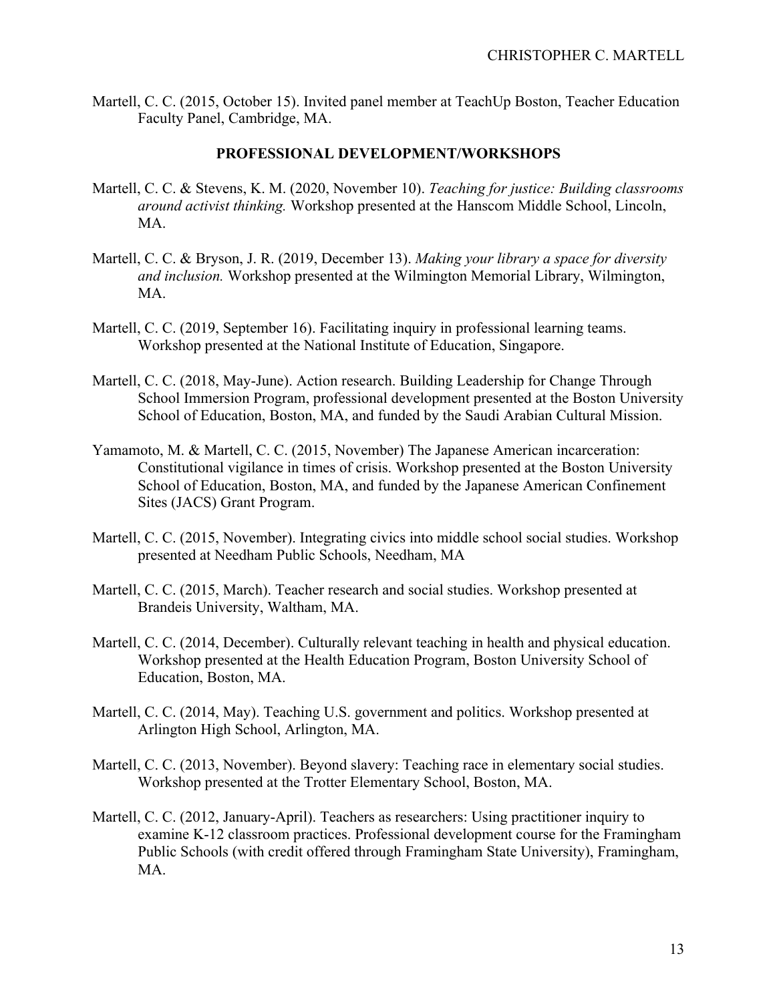Martell, C. C. (2015, October 15). Invited panel member at TeachUp Boston, Teacher Education Faculty Panel, Cambridge, MA.

### **PROFESSIONAL DEVELOPMENT/WORKSHOPS**

- Martell, C. C. & Stevens, K. M. (2020, November 10). *Teaching for justice: Building classrooms around activist thinking.* Workshop presented at the Hanscom Middle School, Lincoln, MA.
- Martell, C. C. & Bryson, J. R. (2019, December 13). *Making your library a space for diversity and inclusion.* Workshop presented at the Wilmington Memorial Library, Wilmington, MA.
- Martell, C. C. (2019, September 16). Facilitating inquiry in professional learning teams. Workshop presented at the National Institute of Education, Singapore.
- Martell, C. C. (2018, May-June). Action research. Building Leadership for Change Through School Immersion Program, professional development presented at the Boston University School of Education, Boston, MA, and funded by the Saudi Arabian Cultural Mission.
- Yamamoto, M. & Martell, C. C. (2015, November) The Japanese American incarceration: Constitutional vigilance in times of crisis. Workshop presented at the Boston University School of Education, Boston, MA, and funded by the Japanese American Confinement Sites (JACS) Grant Program.
- Martell, C. C. (2015, November). Integrating civics into middle school social studies. Workshop presented at Needham Public Schools, Needham, MA
- Martell, C. C. (2015, March). Teacher research and social studies. Workshop presented at Brandeis University, Waltham, MA.
- Martell, C. C. (2014, December). Culturally relevant teaching in health and physical education. Workshop presented at the Health Education Program, Boston University School of Education, Boston, MA.
- Martell, C. C. (2014, May). Teaching U.S. government and politics. Workshop presented at Arlington High School, Arlington, MA.
- Martell, C. C. (2013, November). Beyond slavery: Teaching race in elementary social studies. Workshop presented at the Trotter Elementary School, Boston, MA.
- Martell, C. C. (2012, January-April). Teachers as researchers: Using practitioner inquiry to examine K-12 classroom practices. Professional development course for the Framingham Public Schools (with credit offered through Framingham State University), Framingham, MA.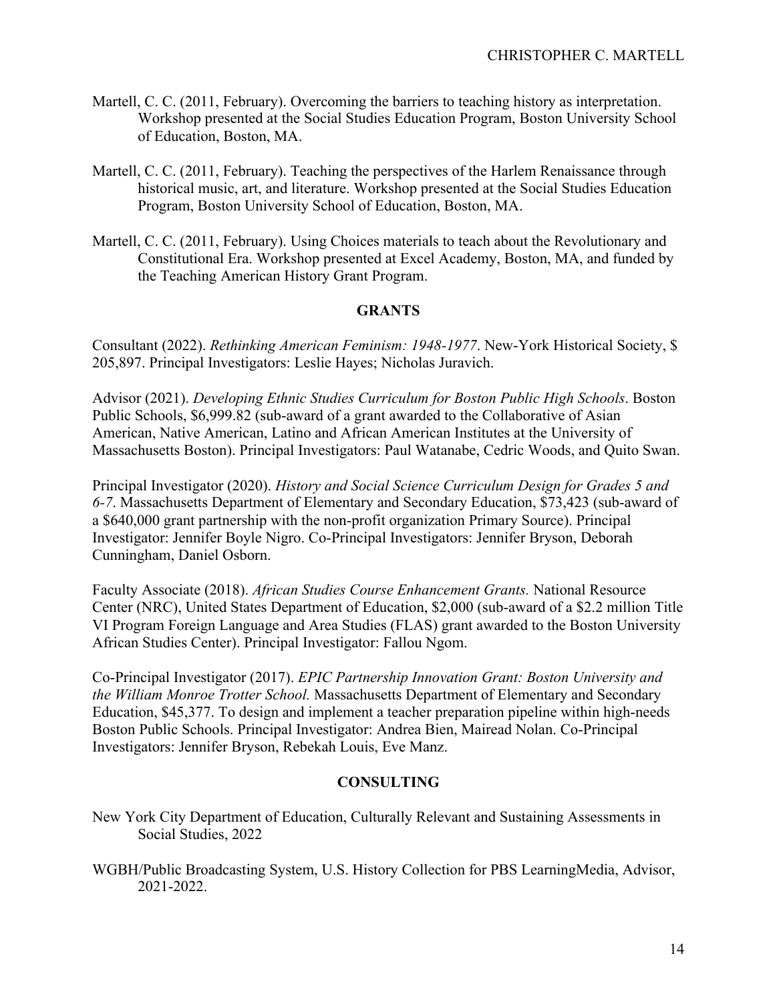- Martell, C. C. (2011, February). Overcoming the barriers to teaching history as interpretation. Workshop presented at the Social Studies Education Program, Boston University School of Education, Boston, MA.
- Martell, C. C. (2011, February). Teaching the perspectives of the Harlem Renaissance through historical music, art, and literature. Workshop presented at the Social Studies Education Program, Boston University School of Education, Boston, MA.
- Martell, C. C. (2011, February). Using Choices materials to teach about the Revolutionary and Constitutional Era. Workshop presented at Excel Academy, Boston, MA, and funded by the Teaching American History Grant Program.

## **GRANTS**

Consultant (2022). *Rethinking American Feminism: 1948-1977*. New-York Historical Society, \$ 205,897. Principal Investigators: Leslie Hayes; Nicholas Juravich.

Advisor (2021). *Developing Ethnic Studies Curriculum for Boston Public High Schools*. Boston Public Schools, \$6,999.82 (sub-award of a grant awarded to the Collaborative of Asian American, Native American, Latino and African American Institutes at the University of Massachusetts Boston). Principal Investigators: Paul Watanabe, Cedric Woods, and Quito Swan.

Principal Investigator (2020). *History and Social Science Curriculum Design for Grades 5 and 6-7*. Massachusetts Department of Elementary and Secondary Education, \$73,423 (sub-award of a \$640,000 grant partnership with the non-profit organization Primary Source). Principal Investigator: Jennifer Boyle Nigro. Co-Principal Investigators: Jennifer Bryson, Deborah Cunningham, Daniel Osborn.

Faculty Associate (2018). *African Studies Course Enhancement Grants.* National Resource Center (NRC), United States Department of Education, \$2,000 (sub-award of a \$2.2 million Title VI Program Foreign Language and Area Studies (FLAS) grant awarded to the Boston University African Studies Center). Principal Investigator: Fallou Ngom.

Co-Principal Investigator (2017). *EPIC Partnership Innovation Grant: Boston University and the William Monroe Trotter School.* Massachusetts Department of Elementary and Secondary Education, \$45,377. To design and implement a teacher preparation pipeline within high-needs Boston Public Schools. Principal Investigator: Andrea Bien, Mairead Nolan. Co-Principal Investigators: Jennifer Bryson, Rebekah Louis, Eve Manz.

## **CONSULTING**

- New York City Department of Education, Culturally Relevant and Sustaining Assessments in Social Studies, 2022
- WGBH/Public Broadcasting System, U.S. History Collection for PBS LearningMedia, Advisor, 2021-2022.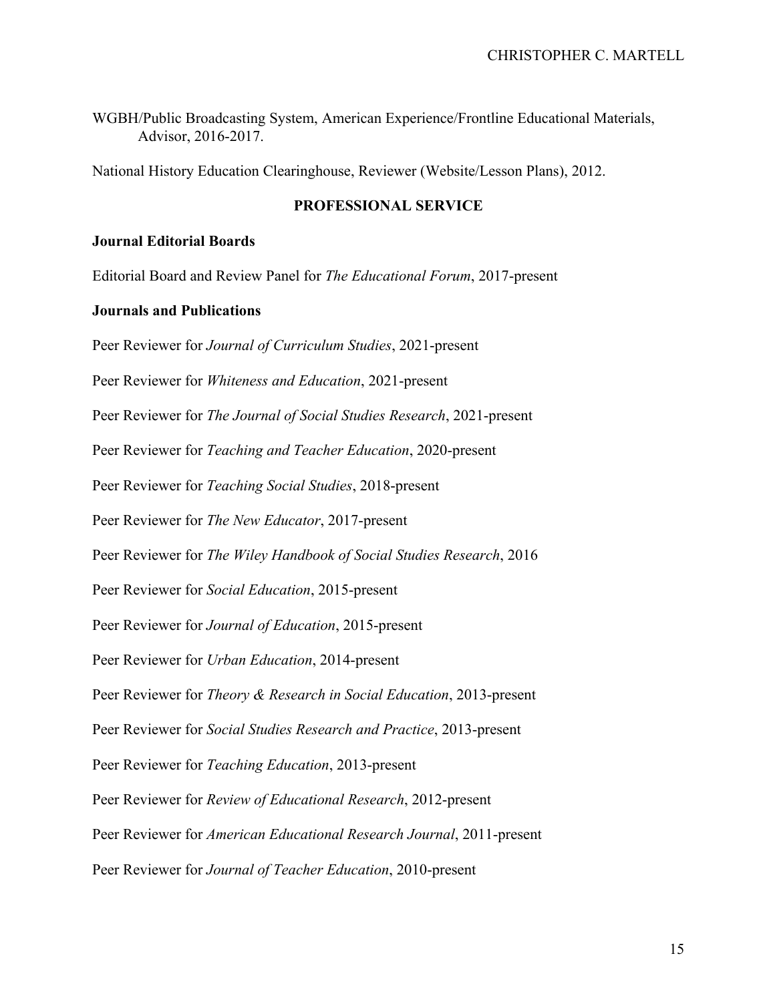WGBH/Public Broadcasting System, American Experience/Frontline Educational Materials, Advisor, 2016-2017.

National History Education Clearinghouse, Reviewer (Website/Lesson Plans), 2012.

### **PROFESSIONAL SERVICE**

### **Journal Editorial Boards**

Editorial Board and Review Panel for *The Educational Forum*, 2017-present

### **Journals and Publications**

Peer Reviewer for *Journal of Curriculum Studies*, 2021-present Peer Reviewer for *Whiteness and Education*, 2021-present Peer Reviewer for *The Journal of Social Studies Research*, 2021-present Peer Reviewer for *Teaching and Teacher Education*, 2020-present Peer Reviewer for *Teaching Social Studies*, 2018-present Peer Reviewer for *The New Educator*, 2017-present Peer Reviewer for *The Wiley Handbook of Social Studies Research*, 2016 Peer Reviewer for *Social Education*, 2015-present Peer Reviewer for *Journal of Education*, 2015-present Peer Reviewer for *Urban Education*, 2014-present Peer Reviewer for *Theory & Research in Social Education*, 2013-present Peer Reviewer for *Social Studies Research and Practice*, 2013-present Peer Reviewer for *Teaching Education*, 2013-present Peer Reviewer for *Review of Educational Research*, 2012-present Peer Reviewer for *American Educational Research Journal*, 2011-present Peer Reviewer for *Journal of Teacher Education*, 2010-present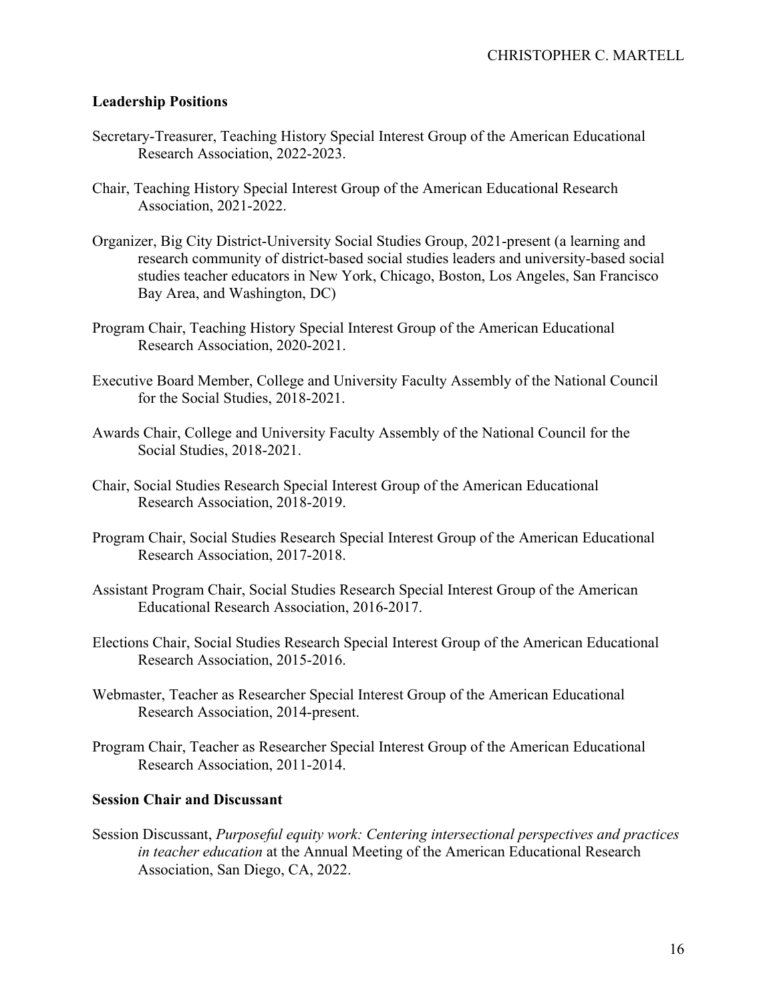## **Leadership Positions**

- Secretary-Treasurer, Teaching History Special Interest Group of the American Educational Research Association, 2022-2023.
- Chair, Teaching History Special Interest Group of the American Educational Research Association, 2021-2022.
- Organizer, Big City District-University Social Studies Group, 2021-present (a learning and research community of district-based social studies leaders and university-based social studies teacher educators in New York, Chicago, Boston, Los Angeles, San Francisco Bay Area, and Washington, DC)
- Program Chair, Teaching History Special Interest Group of the American Educational Research Association, 2020-2021.
- Executive Board Member, College and University Faculty Assembly of the National Council for the Social Studies, 2018-2021.
- Awards Chair, College and University Faculty Assembly of the National Council for the Social Studies, 2018-2021.
- Chair, Social Studies Research Special Interest Group of the American Educational Research Association, 2018-2019.
- Program Chair, Social Studies Research Special Interest Group of the American Educational Research Association, 2017-2018.
- Assistant Program Chair, Social Studies Research Special Interest Group of the American Educational Research Association, 2016-2017.
- Elections Chair, Social Studies Research Special Interest Group of the American Educational Research Association, 2015-2016.
- Webmaster, Teacher as Researcher Special Interest Group of the American Educational Research Association, 2014-present.
- Program Chair, Teacher as Researcher Special Interest Group of the American Educational Research Association, 2011-2014.

## **Session Chair and Discussant**

Session Discussant, *Purposeful equity work: Centering intersectional perspectives and practices in teacher education* at the Annual Meeting of the American Educational Research Association, San Diego, CA, 2022.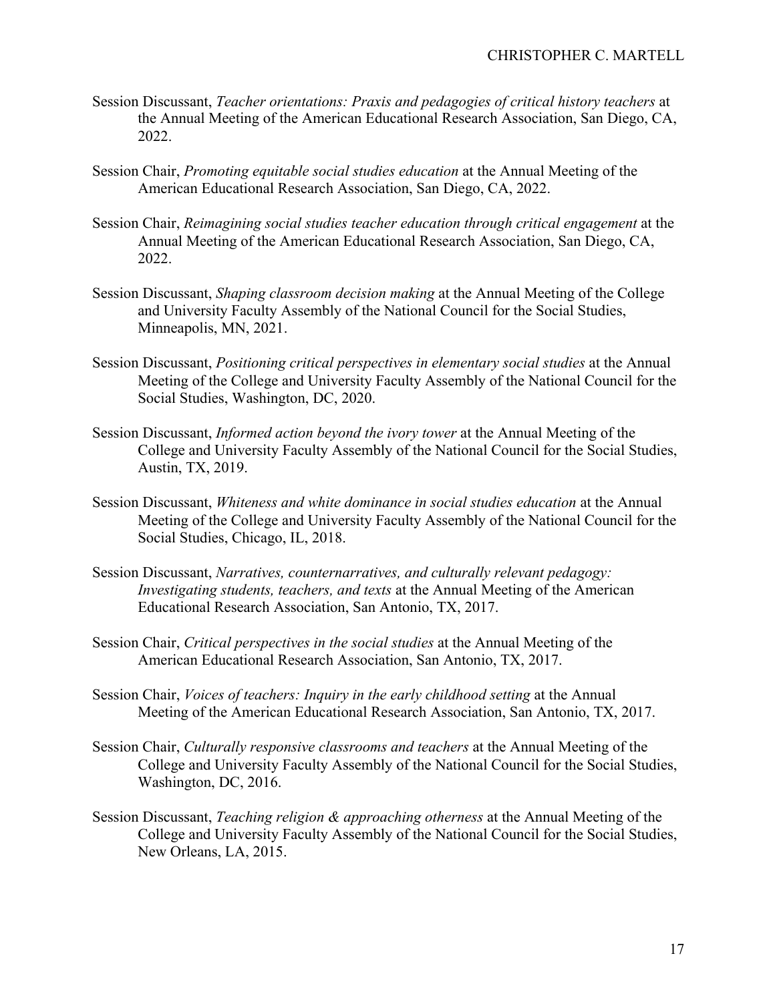- Session Discussant, *Teacher orientations: Praxis and pedagogies of critical history teachers* at the Annual Meeting of the American Educational Research Association, San Diego, CA, 2022.
- Session Chair, *Promoting equitable social studies education* at the Annual Meeting of the American Educational Research Association, San Diego, CA, 2022.
- Session Chair, *Reimagining social studies teacher education through critical engagement* at the Annual Meeting of the American Educational Research Association, San Diego, CA, 2022.
- Session Discussant, *Shaping classroom decision making* at the Annual Meeting of the College and University Faculty Assembly of the National Council for the Social Studies, Minneapolis, MN, 2021.
- Session Discussant, *Positioning critical perspectives in elementary social studies* at the Annual Meeting of the College and University Faculty Assembly of the National Council for the Social Studies, Washington, DC, 2020.
- Session Discussant, *Informed action beyond the ivory tower* at the Annual Meeting of the College and University Faculty Assembly of the National Council for the Social Studies, Austin, TX, 2019.
- Session Discussant, *Whiteness and white dominance in social studies education* at the Annual Meeting of the College and University Faculty Assembly of the National Council for the Social Studies, Chicago, IL, 2018.
- Session Discussant, *Narratives, counternarratives, and culturally relevant pedagogy: Investigating students, teachers, and texts* at the Annual Meeting of the American Educational Research Association, San Antonio, TX, 2017.
- Session Chair, *Critical perspectives in the social studies* at the Annual Meeting of the American Educational Research Association, San Antonio, TX, 2017.
- Session Chair, *Voices of teachers: Inquiry in the early childhood setting* at the Annual Meeting of the American Educational Research Association, San Antonio, TX, 2017.
- Session Chair, *Culturally responsive classrooms and teachers* at the Annual Meeting of the College and University Faculty Assembly of the National Council for the Social Studies, Washington, DC, 2016.
- Session Discussant, *Teaching religion & approaching otherness* at the Annual Meeting of the College and University Faculty Assembly of the National Council for the Social Studies, New Orleans, LA, 2015.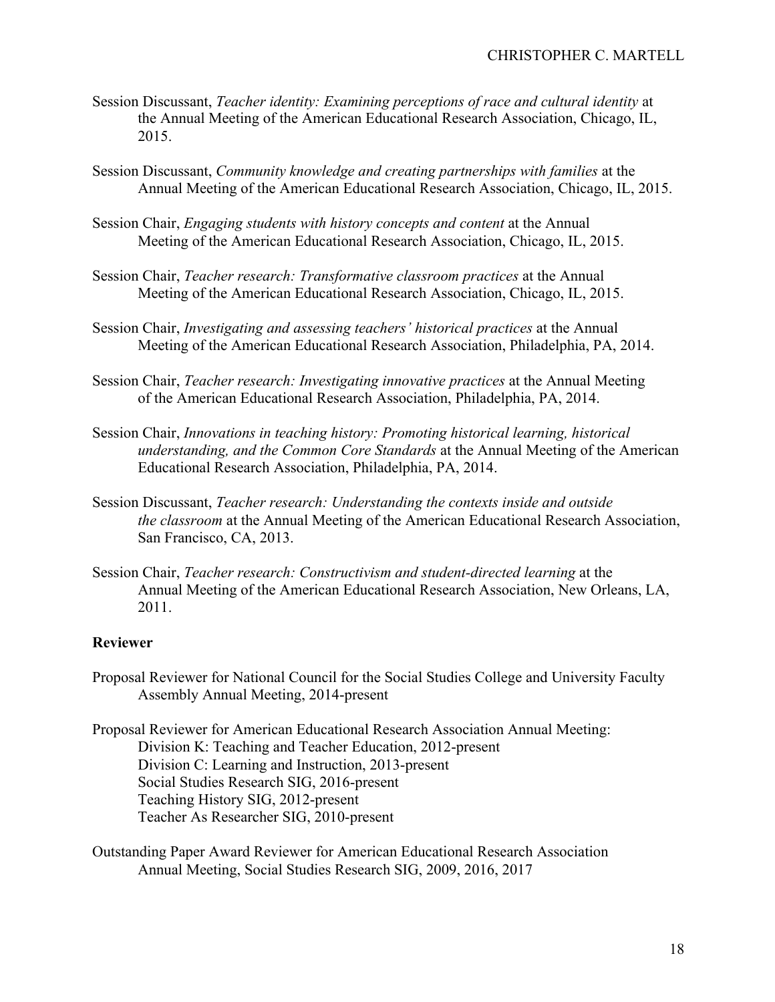- Session Discussant, *Teacher identity: Examining perceptions of race and cultural identity* at the Annual Meeting of the American Educational Research Association, Chicago, IL, 2015.
- Session Discussant, *Community knowledge and creating partnerships with families* at the Annual Meeting of the American Educational Research Association, Chicago, IL, 2015.
- Session Chair, *Engaging students with history concepts and content* at the Annual Meeting of the American Educational Research Association, Chicago, IL, 2015.
- Session Chair, *Teacher research: Transformative classroom practices* at the Annual Meeting of the American Educational Research Association, Chicago, IL, 2015.
- Session Chair, *Investigating and assessing teachers' historical practices* at the Annual Meeting of the American Educational Research Association, Philadelphia, PA, 2014.
- Session Chair, *Teacher research: Investigating innovative practices* at the Annual Meeting of the American Educational Research Association, Philadelphia, PA, 2014.
- Session Chair, *Innovations in teaching history: Promoting historical learning, historical understanding, and the Common Core Standards* at the Annual Meeting of the American Educational Research Association, Philadelphia, PA, 2014.
- Session Discussant, *Teacher research: Understanding the contexts inside and outside the classroom* at the Annual Meeting of the American Educational Research Association, San Francisco, CA, 2013.
- Session Chair, *Teacher research: Constructivism and student-directed learning* at the Annual Meeting of the American Educational Research Association, New Orleans, LA, 2011.

## **Reviewer**

Proposal Reviewer for National Council for the Social Studies College and University Faculty Assembly Annual Meeting, 2014-present

Proposal Reviewer for American Educational Research Association Annual Meeting: Division K: Teaching and Teacher Education, 2012-present Division C: Learning and Instruction, 2013-present Social Studies Research SIG, 2016-present Teaching History SIG, 2012-present Teacher As Researcher SIG, 2010-present

Outstanding Paper Award Reviewer for American Educational Research Association Annual Meeting, Social Studies Research SIG, 2009, 2016, 2017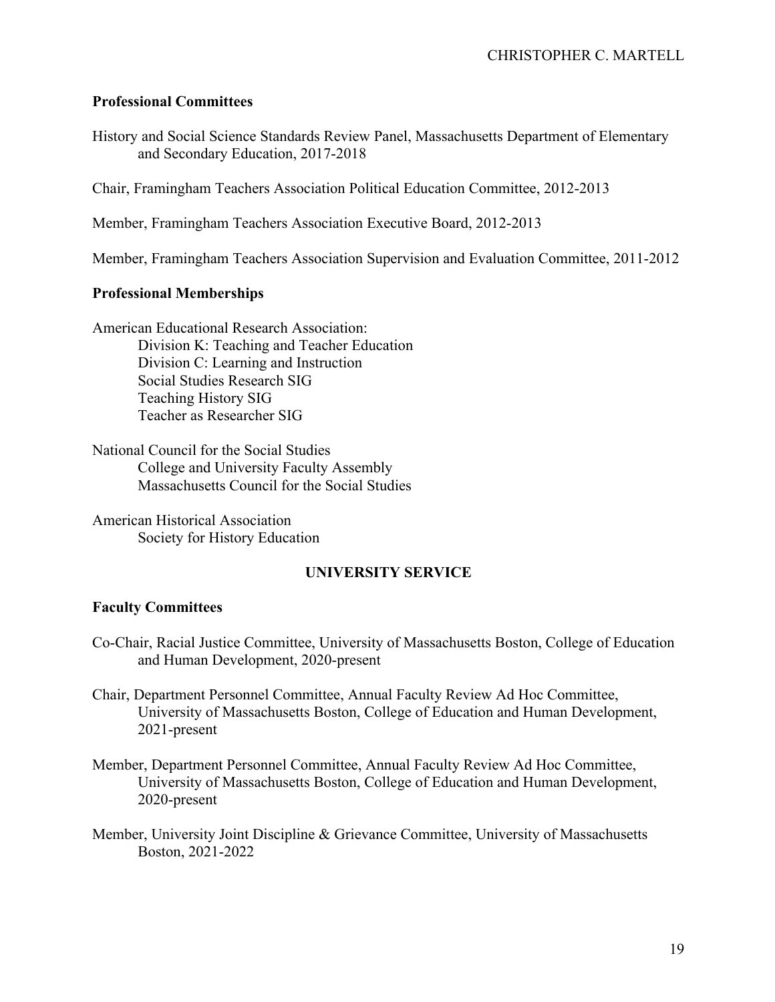### **Professional Committees**

History and Social Science Standards Review Panel, Massachusetts Department of Elementary and Secondary Education, 2017-2018

Chair, Framingham Teachers Association Political Education Committee, 2012-2013

Member, Framingham Teachers Association Executive Board, 2012-2013

Member, Framingham Teachers Association Supervision and Evaluation Committee, 2011-2012

## **Professional Memberships**

American Educational Research Association: Division K: Teaching and Teacher Education Division C: Learning and Instruction Social Studies Research SIG Teaching History SIG Teacher as Researcher SIG

National Council for the Social Studies College and University Faculty Assembly Massachusetts Council for the Social Studies

American Historical Association Society for History Education

## **UNIVERSITY SERVICE**

### **Faculty Committees**

Co-Chair, Racial Justice Committee, University of Massachusetts Boston, College of Education and Human Development, 2020-present

Chair, Department Personnel Committee, Annual Faculty Review Ad Hoc Committee, University of Massachusetts Boston, College of Education and Human Development, 2021-present

Member, Department Personnel Committee, Annual Faculty Review Ad Hoc Committee, University of Massachusetts Boston, College of Education and Human Development, 2020-present

Member, University Joint Discipline & Grievance Committee, University of Massachusetts Boston, 2021-2022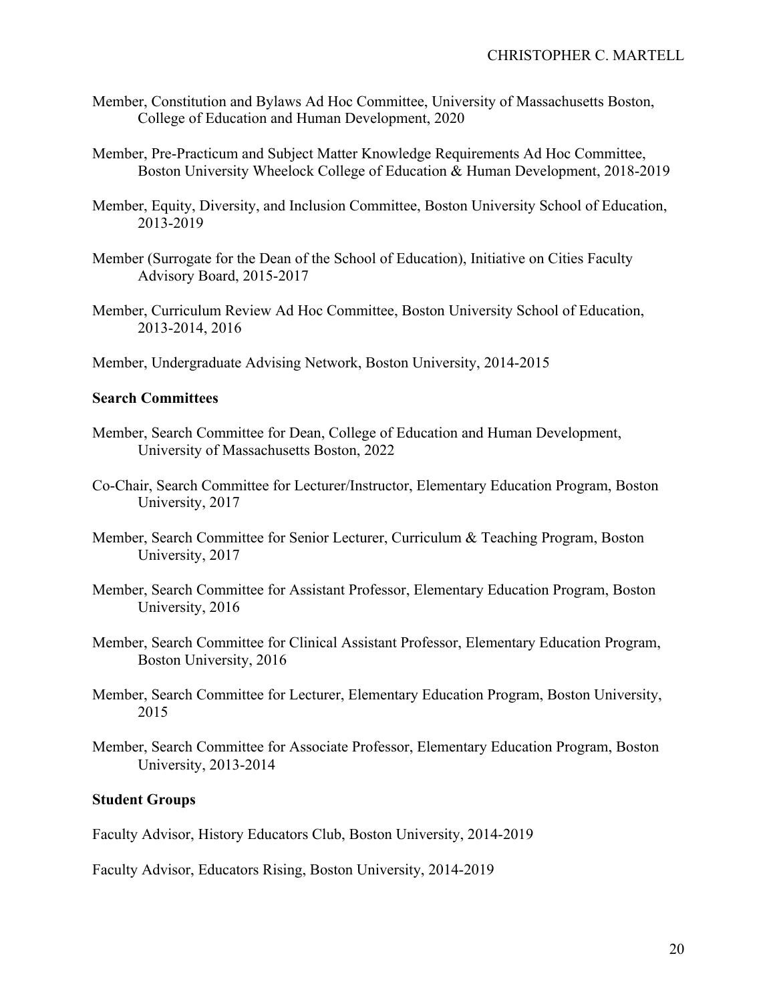- Member, Constitution and Bylaws Ad Hoc Committee, University of Massachusetts Boston, College of Education and Human Development, 2020
- Member, Pre-Practicum and Subject Matter Knowledge Requirements Ad Hoc Committee, Boston University Wheelock College of Education & Human Development, 2018-2019
- Member, Equity, Diversity, and Inclusion Committee, Boston University School of Education, 2013-2019
- Member (Surrogate for the Dean of the School of Education), Initiative on Cities Faculty Advisory Board, 2015-2017
- Member, Curriculum Review Ad Hoc Committee, Boston University School of Education, 2013-2014, 2016
- Member, Undergraduate Advising Network, Boston University, 2014-2015

### **Search Committees**

- Member, Search Committee for Dean, College of Education and Human Development, University of Massachusetts Boston, 2022
- Co-Chair, Search Committee for Lecturer/Instructor, Elementary Education Program, Boston University, 2017
- Member, Search Committee for Senior Lecturer, Curriculum & Teaching Program, Boston University, 2017
- Member, Search Committee for Assistant Professor, Elementary Education Program, Boston University, 2016
- Member, Search Committee for Clinical Assistant Professor, Elementary Education Program, Boston University, 2016
- Member, Search Committee for Lecturer, Elementary Education Program, Boston University, 2015
- Member, Search Committee for Associate Professor, Elementary Education Program, Boston University, 2013-2014

### **Student Groups**

Faculty Advisor, History Educators Club, Boston University, 2014-2019

Faculty Advisor, Educators Rising, Boston University, 2014-2019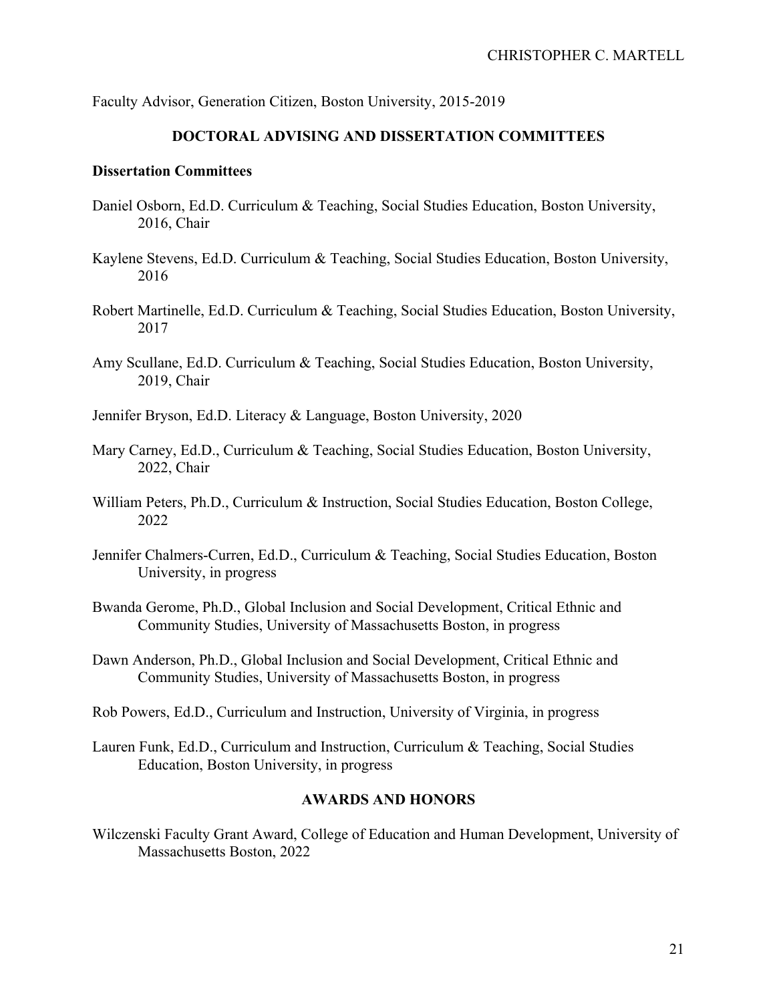Faculty Advisor, Generation Citizen, Boston University, 2015-2019

## **DOCTORAL ADVISING AND DISSERTATION COMMITTEES**

#### **Dissertation Committees**

- Daniel Osborn, Ed.D. Curriculum & Teaching, Social Studies Education, Boston University, 2016, Chair
- Kaylene Stevens, Ed.D. Curriculum & Teaching, Social Studies Education, Boston University, 2016
- Robert Martinelle, Ed.D. Curriculum & Teaching, Social Studies Education, Boston University, 2017
- Amy Scullane, Ed.D. Curriculum & Teaching, Social Studies Education, Boston University, 2019, Chair
- Jennifer Bryson, Ed.D. Literacy & Language, Boston University, 2020
- Mary Carney, Ed.D., Curriculum & Teaching, Social Studies Education, Boston University, 2022, Chair
- William Peters, Ph.D., Curriculum & Instruction, Social Studies Education, Boston College, 2022
- Jennifer Chalmers-Curren, Ed.D., Curriculum & Teaching, Social Studies Education, Boston University, in progress
- Bwanda Gerome, Ph.D., Global Inclusion and Social Development, Critical Ethnic and Community Studies, University of Massachusetts Boston, in progress
- Dawn Anderson, Ph.D., Global Inclusion and Social Development, Critical Ethnic and Community Studies, University of Massachusetts Boston, in progress
- Rob Powers, Ed.D., Curriculum and Instruction, University of Virginia, in progress
- Lauren Funk, Ed.D., Curriculum and Instruction, Curriculum & Teaching, Social Studies Education, Boston University, in progress

### **AWARDS AND HONORS**

Wilczenski Faculty Grant Award, College of Education and Human Development, University of Massachusetts Boston, 2022